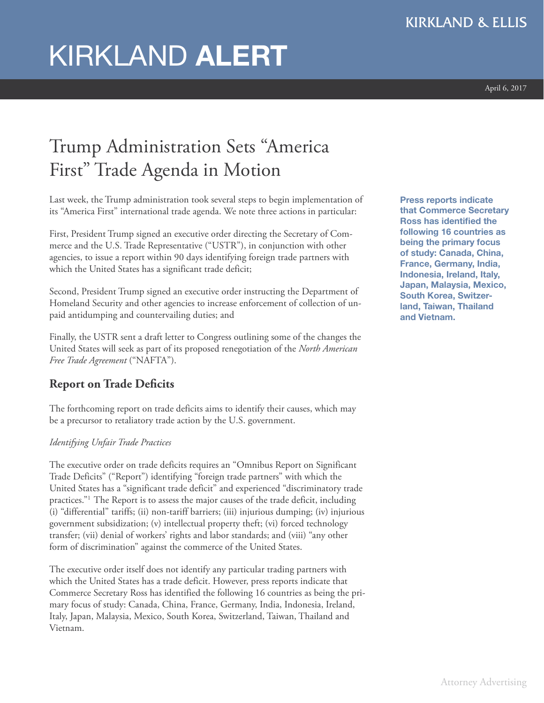# KIRKLAND **ALERT**

# Trump Administration Sets "America First " Trade Agenda in Motion

Last week, the Trump administration took several steps to begin implementation of its "America First" international trade agenda. We note three actions in particular:

First, President Trump signed an executive order directing the Secretary of Commerce and the U.S. Trade Representative ("USTR"), in conjunction with other agencies, to issue a report within 90 days identifying foreign trade partners with which the United States has a significant trade deficit;

Second, President Trump signed an executive order instructing the Department of Homeland Security and other agencies to increase enforcement of collection of unpaid antidumping and countervailing duties; and

Finally, the USTR sent a draft letter to Congress outlining some of the changes the United States will seek as part of its proposed renegotiation of the *North American Free Trade Agreement* ("NAFTA").

# **Report on Trade Deficits**

The forthcoming report on trade deficits aims to identify their causes, which may be a precursor to retaliatory trade action by the U.S. government.

#### *Identifying Unfair Trade Practices*

The executive order on trade deficits requires an "Omnibus Report on Significant Trade Deficits" ("Report") identifying "foreign trade partners" with which the United States has a "significant trade deficit" and experienced "discriminatory trade practices."1 The Report is to assess the major causes of the trade deficit, including (i) "differential" tariffs; (ii) non-tariff barriers; (iii) injurious dumping; (iv) injurious government subsidization; (v) intellectual property theft; (vi) forced technology transfer; (vii) denial of workers' rights and labor standards; and (viii) "any other form of discrimination" against the commerce of the United States.

The executive order itself does not identify any particular trading partners with which the United States has a trade deficit. However, press reports indicate that Commerce Secretary Ross has identified the following 16 countries as being the primary focus of study: Canada, China, France, Germany, India, Indonesia, Ireland, Italy, Japan, Malaysia, Mexico, South Korea, Switzerland, Taiwan, Thailand and Vietnam.

**Press reports indicate that Commerce Secretary Ross has identified the following 16 countries as being the primary focus of study: Canada, China, France, Germany, India, Indonesia, Ireland, Italy, Japan, Malaysia, Mexico, South Korea, Switzerland, Taiwan, Thailand and Vietnam.**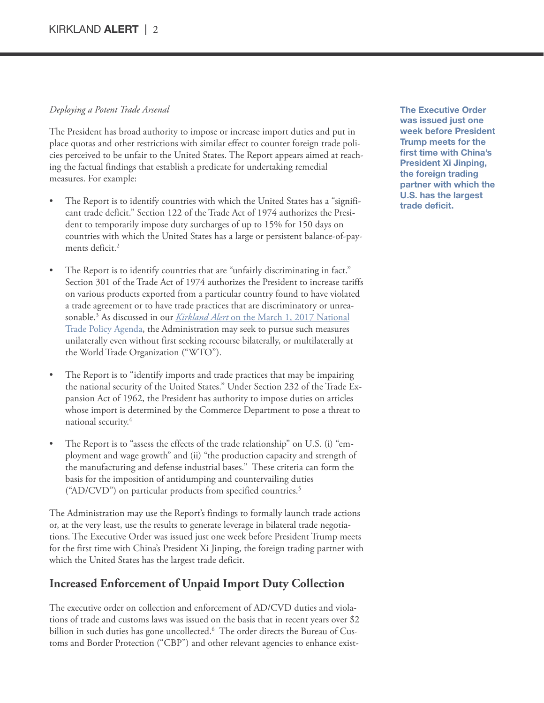#### *Deploying a Potent Trade Arsenal*

The President has broad authority to impose or increase import duties and put in place quotas and other restrictions with similar effect to counter foreign trade policies perceived to be unfair to the United States. The Report appears aimed at reaching the factual findings that establish a predicate for undertaking remedial measures. For example:

- The Report is to identify countries with which the United States has a "significant trade deficit." Section 122 of the Trade Act of 1974 authorizes the President to temporarily impose duty surcharges of up to 15% for 150 days on countries with which the United States has a large or persistent balance-of-payments deficit. 2
- The Report is to identify countries that are "unfairly discriminating in fact." Section 301 of the Trade Act of 1974 authorizes the President to increase tariffs on various products exported from a particular country found to have violated a trade agreement or to have trade practices that are discriminatory or unreasonable. <sup>3</sup> As discussed in our *Kirkland Alert* on the March 1, 2017 [National](http://www.kirkland.com/siteFiles/Publications/Trump_Administration_Releases_National_Trade_Policy_Agenda_for_2017.pdf) Trade Policy [Agenda,](http://www.kirkland.com/siteFiles/Publications/Trump_Administration_Releases_National_Trade_Policy_Agenda_for_2017.pdf) the Administration may seek to pursue such measures unilaterally even without first seeking recourse bilaterally, or multilaterally at the World Trade Organization ("WTO").
- The Report is to "identify imports and trade practices that may be impairing the national security of the United States." Under Section 232 of the Trade Expansion Act of 1962, the President has authority to impose duties on articles whose import is determined by the Commerce Department to pose a threat to national security. 4
- The Report is to "assess the effects of the trade relationship" on U.S. (i) "employment and wage growth" and (ii) "the production capacity and strength of the manufacturing and defense industrial bases." These criteria can form the basis for the imposition of antidumping and countervailing duties ("AD/CVD") on particular products from specified countries. 5

The Administration may use the Report's findings to formally launch trade actions or, at the very least, use the results to generate leverage in bilateral trade negotiations. The Executive Order was issued just one week before President Trump meets for the first time with China's President Xi Jinping, the foreign trading partner with which the United States has the largest trade deficit.

# **Increased Enforcement of Unpaid Import Duty Collection**

The executive order on collection and enforcement of AD/CVD duties and violations of trade and customs laws was issued on the basis that in recent years over \$2 billion in such duties has gone uncollected. <sup>6</sup> The order directs the Bureau of Customs and Border Protection ("CBP") and other relevant agencies to enhance exist**The Executive Order was issued just one week before President Trump meets for the first time with China's President Xi Jinping, the foreign trading partner with which the U.S. has the largest trade deficit.**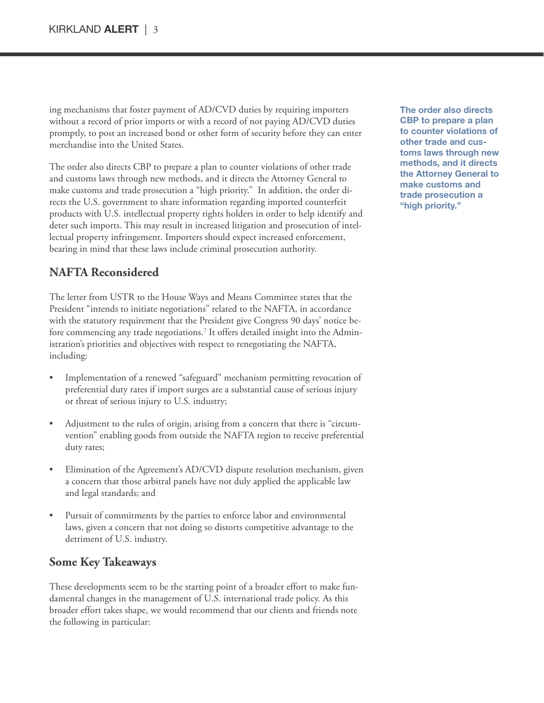ing mechanisms that foster payment of AD/CVD duties by requiring importers without a record of prior imports or with a record of not paying AD/CVD duties promptly, to post an increased bond or other form of security before they can enter merchandise into the United States.

The order also directs CBP to prepare a plan to counter violations of other trade and customs laws through new methods, and it directs the Attorney General to make customs and trade prosecution a "high priority." In addition, the order directs the U.S. government to share information regarding imported counterfeit products with U.S. intellectual property rights holders in order to help identify and deter such imports. This may result in increased litigation and prosecution of intellectual property infringement. Importers should expect increased enforcement, bearing in mind that these laws include criminal prosecution authority.

### **NAFTA Reconsidered**

The letter from USTR to the House Ways and Means Committee states that the President "intends to initiate negotiations" related to the NAFTA, in accordance with the statutory requirement that the President give Congress 90 days' notice before commencing any trade negotiations. <sup>7</sup> It offers detailed insight into the Administration's priorities and objectives with respect to renegotiating the NAFTA, including:

- Implementation of a renewed "safeguard" mechanism permitting revocation of preferential duty rates if import surges are a substantial cause of serious injury or threat of serious injury to U.S. industry;
- Adjustment to the rules of origin, arising from a concern that there is "circumvention" enabling goods from outside the NAFTA region to receive preferential duty rates;
- Elimination of the Agreement's AD/CVD dispute resolution mechanism, given a concern that those arbitral panels have not duly applied the applicable law and legal standards; and
- Pursuit of commitments by the parties to enforce labor and environmental laws, given a concern that not doing so distorts competitive advantage to the detriment of U.S. industry.

#### **Some Key Takeaways**

These developments seem to be the starting point of a broader effort to make fundamental changes in the management of U.S. international trade policy. As this broader effort takes shape, we would recommend that our clients and friends note the following in particular:

**The order also directs CBP to prepare a plan to counter violations of other trade and customs laws through new methods, and it directs the Attorney General to make customs and trade prosecution a "high priority."**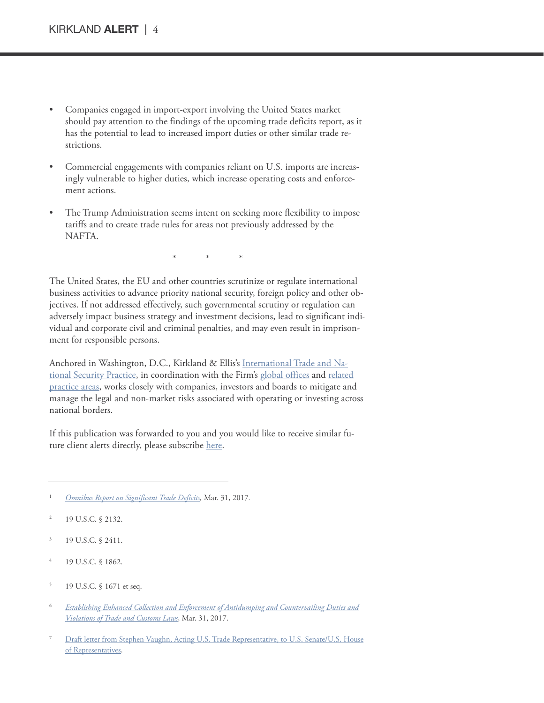- Companies engaged in import-export involving the United States market should pay attention to the findings of the upcoming trade deficits report, as it has the potential to lead to increased import duties or other similar trade restrictions.
- Commercial engagements with companies reliant on U.S. imports are increasingly vulnerable to higher duties, which increase operating costs and enforcement actions.
- The Trump Administration seems intent on seeking more flexibility to impose tariffs and to create trade rules for areas not previously addressed by the NAFTA.

\* \* \*

The United States, the EU and other countries scrutinize or regulate international business activities to advance priority national security, foreign policy and other objectives. If not addressed effectively, such governmental scrutiny or regulation can adversely impact business strategy and investment decisions, lead to significant individual and corporate civil and criminal penalties, and may even result in imprisonment for responsible persons.

Anchored in Washington, D.C., Kirkland & Ellis's [International](https://www.kirkland.com/sitecontent.cfm?contentID=218&itemID=816) Trade and National [Security](https://www.kirkland.com/sitecontent.cfm?contentID=218&itemID=816) Practice, in coordination with the Firm's global [offices](https://www.kirkland.com/sitecontent.cfm?contentID=233) and [related](https://www.kirkland.com/sitecontent.cfm?contentID=183) [practice](https://www.kirkland.com/sitecontent.cfm?contentID=183) areas, works closely with companies, investors and boards to mitigate and manage the legal and non-market risks associated with operating or investing across national borders.

If this publication was forwarded to you and you would like to receive similar future client alerts directly, please subscribe [here.](mailto: info@kirkland.com)

- <sup>2</sup> 19 U.S.C. § 2132.
- <sup>3</sup> 19 U.S.C. § 2411.
- 19 U.S.C. § 1862.
- <sup>5</sup> 19 U.S.C. § 1671 et seq.
- <sup>6</sup> *Establishing Enhanced Collection and Enforcement of Antidumping and [Countervailing](https://www.whitehouse.gov/the-press-office/2017/03/31/presidential-executive-order-establishing-enhanced-collection-and) Duties and [Violations](https://www.whitehouse.gov/the-press-office/2017/03/31/presidential-executive-order-establishing-enhanced-collection-and) of Trade and Customs Laws*, Mar. 31, 2017.
- Draft letter from Stephen Vaughn, Acting U.S. Trade [Representative,](http://www.kirkland.com/files/alerts/NAFTA_letter.pdf) to U.S. Senate/U.S. House of [Representatives.](http://www.kirkland.com/files/alerts/NAFTA_letter.pdf)

<sup>1</sup> *Omnibus Report on [Significant](https://www.whitehouse.gov/the-press-office/2017/03/31/presidential-executive-order-regarding-omnibus-report-significant-trade) Trade Deficits,* Mar. 31, 2017*.*